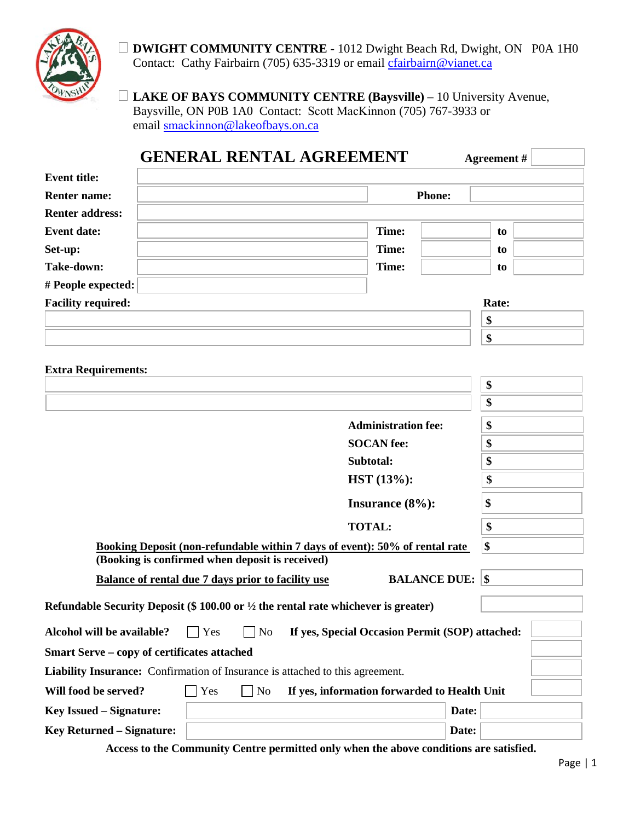

 **DWIGHT COMMUNITY CENTRE** - 1012 Dwight Beach Rd, Dwight, ON P0A 1H0 Contact: Cathy Fairbairn (705) 635-3319 or email chairbairn@vianet.ca

 **LAKE OF BAYS COMMUNITY CENTRE (Baysville)** – 10 University Avenue, Baysville, ON P0B 1A0 Contact: Scott MacKinnon (705) 767-3933 or email smackinnon[@lakeofbays.on.ca](mailto:smackinnon@lakeofbays.on.ca)

| <b>GENERAL RENTAL AGREEMENT</b>                                                               |                                                 | Agreement# |
|-----------------------------------------------------------------------------------------------|-------------------------------------------------|------------|
| <b>Event title:</b>                                                                           |                                                 |            |
| <b>Renter name:</b>                                                                           | <b>Phone:</b>                                   |            |
| <b>Renter address:</b>                                                                        |                                                 |            |
| <b>Event date:</b>                                                                            | Time:                                           | to         |
| Set-up:                                                                                       | Time:                                           | to         |
| Take-down:                                                                                    | Time:                                           | to         |
| # People expected:                                                                            |                                                 |            |
| <b>Facility required:</b>                                                                     |                                                 | Rate:      |
|                                                                                               |                                                 | \$         |
|                                                                                               |                                                 | \$         |
|                                                                                               |                                                 |            |
| <b>Extra Requirements:</b>                                                                    |                                                 | \$         |
|                                                                                               |                                                 | \$         |
|                                                                                               | <b>Administration fee:</b>                      | \$         |
|                                                                                               | <b>SOCAN</b> fee:                               | \$         |
|                                                                                               | Subtotal:                                       | \$         |
|                                                                                               | HST (13%):                                      | \$         |
|                                                                                               | Insurance $(8\%)$ :                             | \$         |
|                                                                                               | <b>TOTAL:</b>                                   | \$         |
| Booking Deposit (non-refundable within 7 days of event): 50% of rental rate                   |                                                 | \$         |
| (Booking is confirmed when deposit is received)                                               |                                                 |            |
| Balance of rental due 7 days prior to facility use                                            | <b>BALANCE DUE: \$</b>                          |            |
| Refundable Security Deposit (\$ 100.00 or $\frac{1}{2}$ the rental rate whichever is greater) |                                                 |            |
| Alcohol will be available?<br>Yes<br>N <sub>o</sub>                                           | If yes, Special Occasion Permit (SOP) attached: |            |
| Smart Serve - copy of certificates attached                                                   |                                                 |            |
| Liability Insurance: Confirmation of Insurance is attached to this agreement.                 |                                                 |            |
| Will food be served?<br>$\Box$ No<br>Yes                                                      | If yes, information forwarded to Health Unit    |            |
| <b>Key Issued – Signature:</b>                                                                | Date:                                           |            |
| <b>Key Returned - Signature:</b>                                                              | Date:                                           |            |

**Access to the Community Centre permitted only when the above conditions are satisfied.**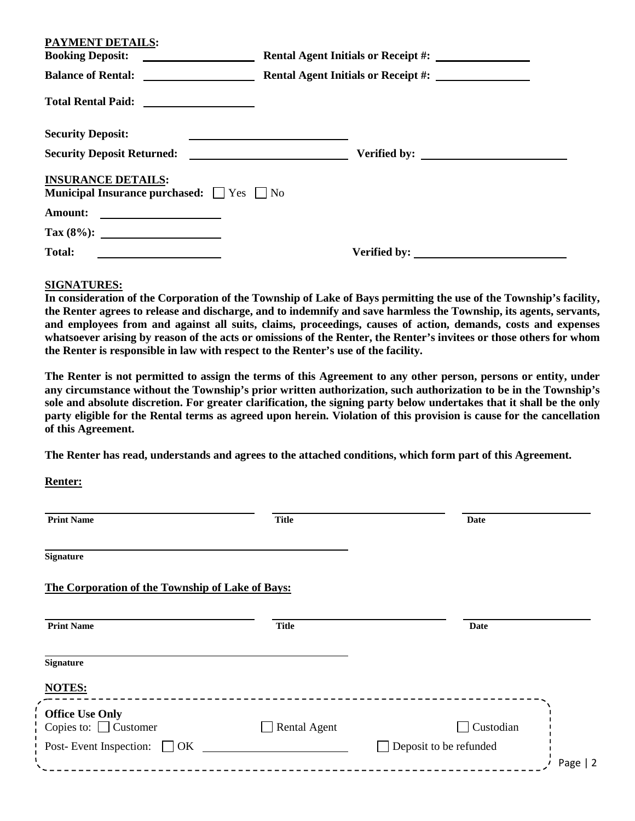| <b>PAYMENT DETAILS:</b><br><b>Booking Deposit:</b>                                      | Rental Agent Initials or Receipt #: |
|-----------------------------------------------------------------------------------------|-------------------------------------|
|                                                                                         | Rental Agent Initials or Receipt #: |
|                                                                                         |                                     |
| <b>Security Deposit:</b>                                                                |                                     |
|                                                                                         |                                     |
| <b>INSURANCE DETAILS:</b><br><b>Municipal Insurance purchased:</b> $\Box$ Yes $\Box$ No |                                     |
| Amount:<br><u> The Communication of the Communication of</u>                            |                                     |
|                                                                                         |                                     |
| <b>Total:</b><br><u> The Communication of the Communication</u>                         |                                     |

#### **SIGNATURES:**

**In consideration of the Corporation of the Township of Lake of Bays permitting the use of the Township's facility, the Renter agrees to release and discharge, and to indemnify and save harmless the Township, its agents, servants, and employees from and against all suits, claims, proceedings, causes of action, demands, costs and expenses whatsoever arising by reason of the acts or omissions of the Renter, the Renter's invitees or those others for whom the Renter is responsible in law with respect to the Renter's use of the facility.**

**The Renter is not permitted to assign the terms of this Agreement to any other person, persons or entity, under any circumstance without the Township's prior written authorization, such authorization to be in the Township's sole and absolute discretion. For greater clarification, the signing party below undertakes that it shall be the only party eligible for the Rental terms as agreed upon herein. Violation of this provision is cause for the cancellation of this Agreement.** 

**The Renter has read, understands and agrees to the attached conditions, which form part of this Agreement.**

**Renter:** 

| <b>Print Name</b>                                    | <b>Title</b>        | <b>Date</b>            |           |
|------------------------------------------------------|---------------------|------------------------|-----------|
| <b>Signature</b>                                     |                     |                        |           |
| The Corporation of the Township of Lake of Bays:     |                     |                        |           |
| <b>Print Name</b>                                    | <b>Title</b>        | Date                   |           |
| <b>Signature</b>                                     |                     |                        |           |
| <b>NOTES:</b>                                        |                     |                        |           |
| <b>Office Use Only</b><br>Copies to: $\Box$ Customer | <b>Rental Agent</b> | Custodian              |           |
| Post-Event Inspection:<br>$\Box$ OK                  |                     | Deposit to be refunded | Page $ 2$ |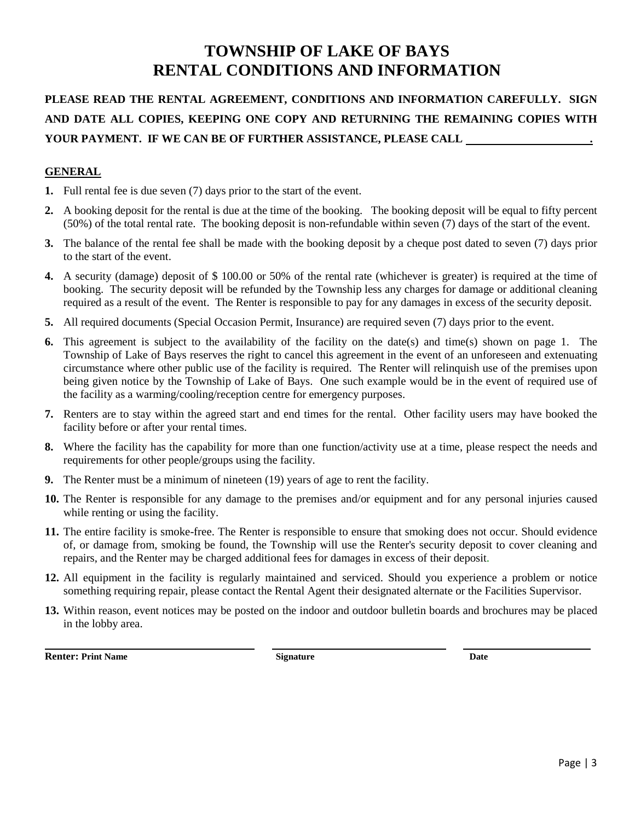# **TOWNSHIP OF LAKE OF BAYS RENTAL CONDITIONS AND INFORMATION**

## **PLEASE READ THE RENTAL AGREEMENT, CONDITIONS AND INFORMATION CAREFULLY. SIGN AND DATE ALL COPIES, KEEPING ONE COPY AND RETURNING THE REMAINING COPIES WITH YOUR PAYMENT. IF WE CAN BE OF FURTHER ASSISTANCE, PLEASE CALL .**

## **GENERAL**

- **1.** Full rental fee is due seven (7) days prior to the start of the event.
- **2.** A booking deposit for the rental is due at the time of the booking. The booking deposit will be equal to fifty percent (50%) of the total rental rate. The booking deposit is non-refundable within seven (7) days of the start of the event.
- **3.** The balance of the rental fee shall be made with the booking deposit by a cheque post dated to seven (7) days prior to the start of the event.
- **4.** A security (damage) deposit of \$ 100.00 or 50% of the rental rate (whichever is greater) is required at the time of booking. The security deposit will be refunded by the Township less any charges for damage or additional cleaning required as a result of the event. The Renter is responsible to pay for any damages in excess of the security deposit.
- **5.** All required documents (Special Occasion Permit, Insurance) are required seven (7) days prior to the event.
- **6.** This agreement is subject to the availability of the facility on the date(s) and time(s) shown on page 1. The Township of Lake of Bays reserves the right to cancel this agreement in the event of an unforeseen and extenuating circumstance where other public use of the facility is required. The Renter will relinquish use of the premises upon being given notice by the Township of Lake of Bays. One such example would be in the event of required use of the facility as a warming/cooling/reception centre for emergency purposes.
- **7.** Renters are to stay within the agreed start and end times for the rental. Other facility users may have booked the facility before or after your rental times.
- **8.** Where the facility has the capability for more than one function/activity use at a time, please respect the needs and requirements for other people/groups using the facility.
- **9.** The Renter must be a minimum of nineteen (19) years of age to rent the facility.
- **10.** The Renter is responsible for any damage to the premises and/or equipment and for any personal injuries caused while renting or using the facility.
- **11.** The entire facility is smoke-free. The Renter is responsible to ensure that smoking does not occur. Should evidence of, or damage from, smoking be found, the Township will use the Renter's security deposit to cover cleaning and repairs, and the Renter may be charged additional fees for damages in excess of their deposit.
- **12.** All equipment in the facility is regularly maintained and serviced. Should you experience a problem or notice something requiring repair, please contact the Rental Agent their designated alternate or the Facilities Supervisor.
- **13.** Within reason, event notices may be posted on the indoor and outdoor bulletin boards and brochures may be placed in the lobby area.

**Renter:** Print Name **Date Constanting Signature Constanting Constanting Constanting Constanting Constanting Date**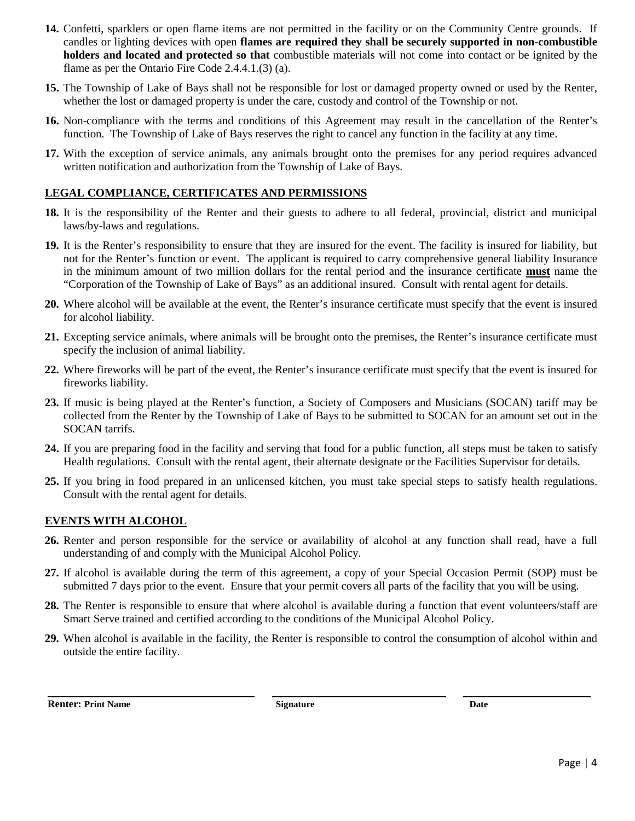- **14.** Confetti, sparklers or open flame items are not permitted in the facility or on the Community Centre grounds. If candles or lighting devices with open **flames are required they shall be securely supported in non-combustible holders and located and protected so that** combustible materials will not come into contact or be ignited by the flame as per the Ontario Fire Code 2.4.4.1.(3) (a).
- **15.** The Township of Lake of Bays shall not be responsible for lost or damaged property owned or used by the Renter, whether the lost or damaged property is under the care, custody and control of the Township or not.
- **16.** Non-compliance with the terms and conditions of this Agreement may result in the cancellation of the Renter's function. The Township of Lake of Bays reserves the right to cancel any function in the facility at any time.
- **17.** With the exception of service animals, any animals brought onto the premises for any period requires advanced written notification and authorization from the Township of Lake of Bays.

## **LEGAL COMPLIANCE, CERTIFICATES AND PERMISSIONS**

- **18.** It is the responsibility of the Renter and their guests to adhere to all federal, provincial, district and municipal laws/by-laws and regulations.
- **19.** It is the Renter's responsibility to ensure that they are insured for the event. The facility is insured for liability, but not for the Renter's function or event. The applicant is required to carry comprehensive general liability Insurance in the minimum amount of two million dollars for the rental period and the insurance certificate **must** name the "Corporation of the Township of Lake of Bays" as an additional insured. Consult with rental agent for details.
- **20.** Where alcohol will be available at the event, the Renter's insurance certificate must specify that the event is insured for alcohol liability.
- **21.** Excepting service animals, where animals will be brought onto the premises, the Renter's insurance certificate must specify the inclusion of animal liability.
- **22.** Where fireworks will be part of the event, the Renter's insurance certificate must specify that the event is insured for fireworks liability.
- **23.** If music is being played at the Renter's function, a Society of Composers and Musicians (SOCAN) tariff may be collected from the Renter by the Township of Lake of Bays to be submitted to SOCAN for an amount set out in the SOCAN tarrifs.
- **24.** If you are preparing food in the facility and serving that food for a public function, all steps must be taken to satisfy Health regulations. Consult with the rental agent, their alternate designate or the Facilities Supervisor for details.
- **25.** If you bring in food prepared in an unlicensed kitchen, you must take special steps to satisfy health regulations. Consult with the rental agent for details.

## **EVENTS WITH ALCOHOL**

- **26.** Renter and person responsible for the service or availability of alcohol at any function shall read, have a full understanding of and comply with the Municipal Alcohol Policy.
- **27.** If alcohol is available during the term of this agreement, a copy of your Special Occasion Permit (SOP) must be submitted 7 days prior to the event. Ensure that your permit covers all parts of the facility that you will be using.
- **28.** The Renter is responsible to ensure that where alcohol is available during a function that event volunteers/staff are Smart Serve trained and certified according to the conditions of the Municipal Alcohol Policy.
- **29.** When alcohol is available in the facility, the Renter is responsible to control the consumption of alcohol within and outside the entire facility.

**Renter: Print Name Signature Signature Date** Date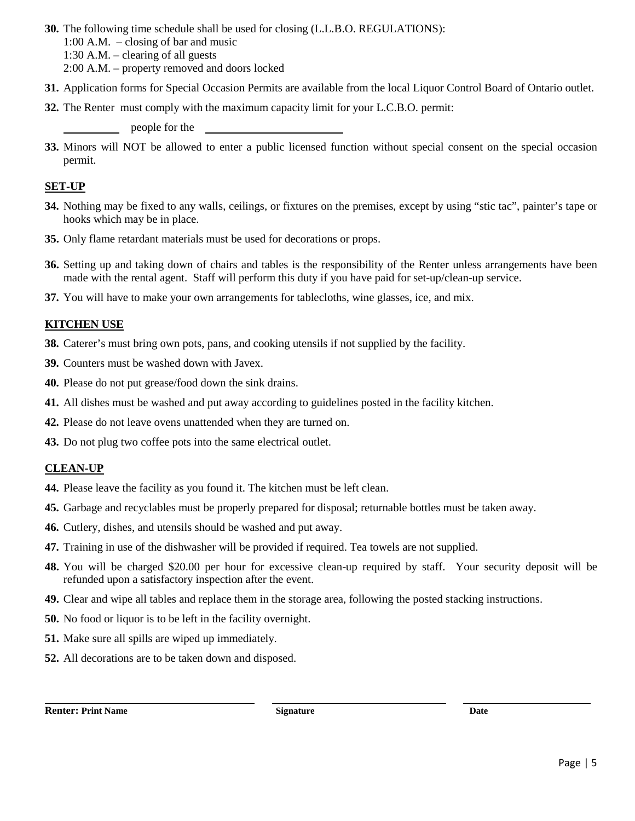**30.** The following time schedule shall be used for closing (L.L.B.O. REGULATIONS):

1:00 A.M. – closing of bar and music

1:30 A.M. – clearing of all guests

2:00 A.M. – property removed and doors locked

- **31.** Application forms for Special Occasion Permits are available from the local Liquor Control Board of Ontario outlet.
- **32.** The Renter must comply with the maximum capacity limit for your L.C.B.O. permit:

people for the

**33.** Minors will NOT be allowed to enter a public licensed function without special consent on the special occasion permit.

#### **SET-UP**

- **34.** Nothing may be fixed to any walls, ceilings, or fixtures on the premises, except by using "stic tac", painter's tape or hooks which may be in place.
- **35.** Only flame retardant materials must be used for decorations or props.
- **36.** Setting up and taking down of chairs and tables is the responsibility of the Renter unless arrangements have been made with the rental agent. Staff will perform this duty if you have paid for set-up/clean-up service.
- **37.** You will have to make your own arrangements for tablecloths, wine glasses, ice, and mix.

## **KITCHEN USE**

- **38.** Caterer's must bring own pots, pans, and cooking utensils if not supplied by the facility.
- **39.** Counters must be washed down with Javex.
- **40.** Please do not put grease/food down the sink drains.
- **41.** All dishes must be washed and put away according to guidelines posted in the facility kitchen.
- **42.** Please do not leave ovens unattended when they are turned on.
- **43.** Do not plug two coffee pots into the same electrical outlet.

## **CLEAN-UP**

- **44.** Please leave the facility as you found it. The kitchen must be left clean.
- **45.** Garbage and recyclables must be properly prepared for disposal; returnable bottles must be taken away.
- **46.** Cutlery, dishes, and utensils should be washed and put away.
- **47.** Training in use of the dishwasher will be provided if required. Tea towels are not supplied.
- **48.** You will be charged \$20.00 per hour for excessive clean-up required by staff. Your security deposit will be refunded upon a satisfactory inspection after the event.
- **49.** Clear and wipe all tables and replace them in the storage area, following the posted stacking instructions.
- **50.** No food or liquor is to be left in the facility overnight.
- **51.** Make sure all spills are wiped up immediately.
- **52.** All decorations are to be taken down and disposed.